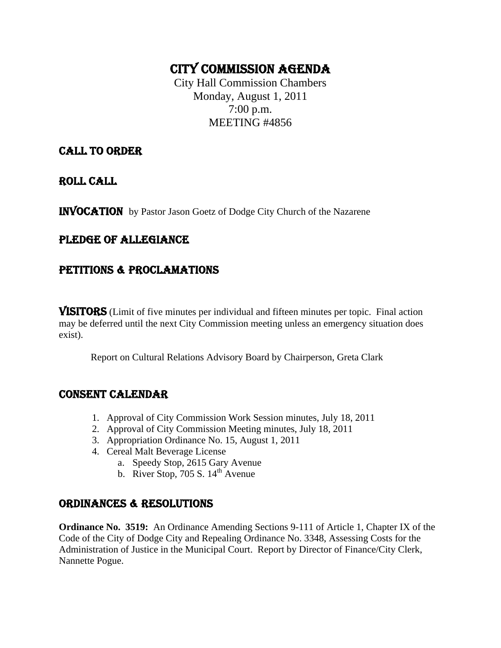# CITY COMMISSION AGENDA

City Hall Commission Chambers Monday, August 1, 2011 7:00 p.m. MEETING #4856

## CALL TO ORDER

ROLL CALL

INVOCATION by Pastor Jason Goetz of Dodge City Church of the Nazarene

# PLEDGE OF ALLEGIANCE

## PETITIONS & PROCLAMATIONS

VISITORS (Limit of five minutes per individual and fifteen minutes per topic. Final action may be deferred until the next City Commission meeting unless an emergency situation does exist).

Report on Cultural Relations Advisory Board by Chairperson, Greta Clark

### CONSENT CALENDAR

- 1. Approval of City Commission Work Session minutes, July 18, 2011
- 2. Approval of City Commission Meeting minutes, July 18, 2011
- 3. Appropriation Ordinance No. 15, August 1, 2011
- 4. Cereal Malt Beverage License
	- a. Speedy Stop, 2615 Gary Avenue
	- b. River Stop,  $705 S. 14<sup>th</sup>$  Avenue

# ORDINANCES & RESOLUTIONS

**Ordinance No. 3519:** An Ordinance Amending Sections 9-111 of Article 1, Chapter IX of the Code of the City of Dodge City and Repealing Ordinance No. 3348, Assessing Costs for the Administration of Justice in the Municipal Court. Report by Director of Finance/City Clerk, Nannette Pogue.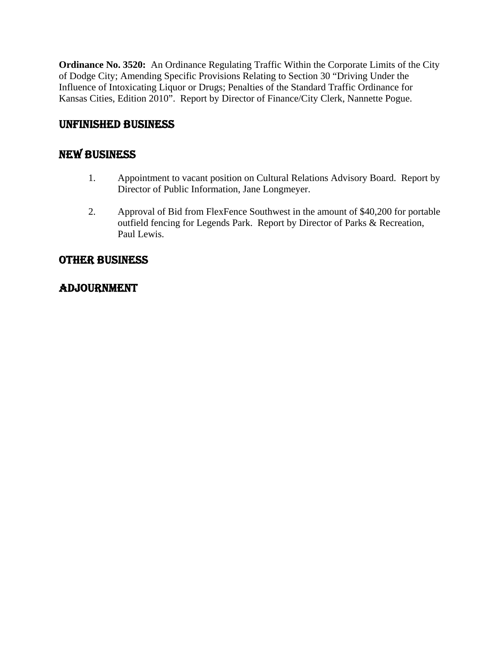**Ordinance No. 3520:** An Ordinance Regulating Traffic Within the Corporate Limits of the City of Dodge City; Amending Specific Provisions Relating to Section 30 "Driving Under the Influence of Intoxicating Liquor or Drugs; Penalties of the Standard Traffic Ordinance for Kansas Cities, Edition 2010". Report by Director of Finance/City Clerk, Nannette Pogue.

# UNFINISHED BUSINESS

# NEW BUSINESS

- 1. Appointment to vacant position on Cultural Relations Advisory Board. Report by Director of Public Information, Jane Longmeyer.
- 2. Approval of Bid from FlexFence Southwest in the amount of \$40,200 for portable outfield fencing for Legends Park. Report by Director of Parks & Recreation, Paul Lewis.

# OTHER BUSINESS

# ADJOURNMENT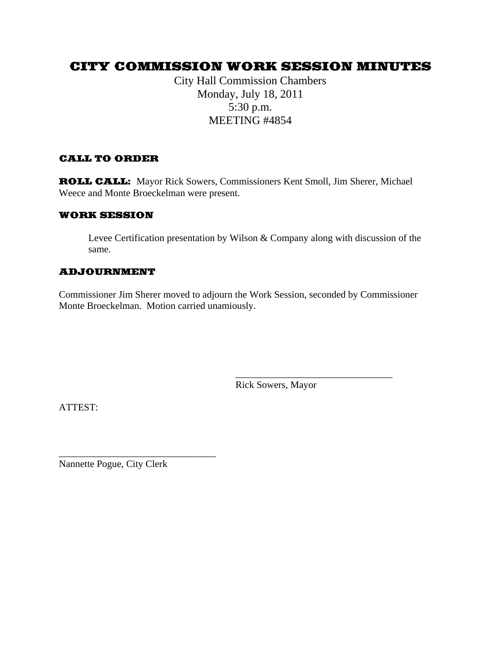# CITY COMMISSION WORK SESSION MINUTES

City Hall Commission Chambers Monday, July 18, 2011 5:30 p.m. MEETING #4854

#### CALL TO ORDER

ROLL CALL: Mayor Rick Sowers, Commissioners Kent Smoll, Jim Sherer, Michael Weece and Monte Broeckelman were present.

#### WORK SESSION

Levee Certification presentation by Wilson & Company along with discussion of the same.

#### ADJOURNMENT

Commissioner Jim Sherer moved to adjourn the Work Session, seconded by Commissioner Monte Broeckelman. Motion carried unamiously.

 $\frac{1}{2}$  , and the contract of the contract of the contract of the contract of the contract of the contract of the contract of the contract of the contract of the contract of the contract of the contract of the contract

Rick Sowers, Mayor

ATTEST:

Nannette Pogue, City Clerk

\_\_\_\_\_\_\_\_\_\_\_\_\_\_\_\_\_\_\_\_\_\_\_\_\_\_\_\_\_\_\_\_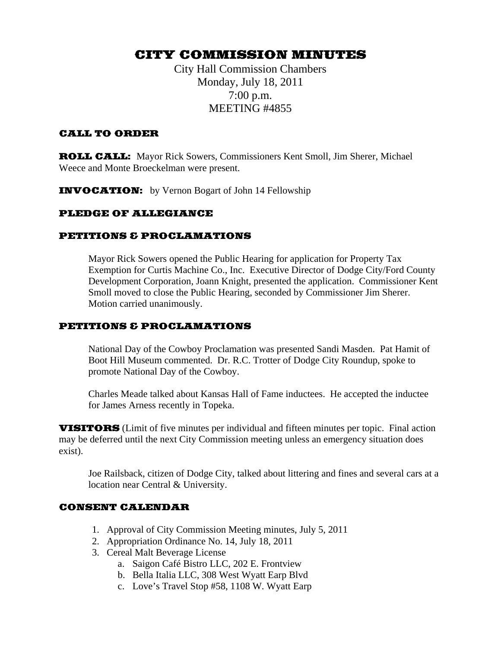# CITY COMMISSION MINUTES

City Hall Commission Chambers Monday, July 18, 2011 7:00 p.m. MEETING #4855

#### CALL TO ORDER

ROLL CALL: Mayor Rick Sowers, Commissioners Kent Smoll, Jim Sherer, Michael Weece and Monte Broeckelman were present.

INVOCATION: by Vernon Bogart of John 14 Fellowship

#### PLEDGE OF ALLEGIANCE

#### PETITIONS & PROCLAMATIONS

Mayor Rick Sowers opened the Public Hearing for application for Property Tax Exemption for Curtis Machine Co., Inc. Executive Director of Dodge City/Ford County Development Corporation, Joann Knight, presented the application. Commissioner Kent Smoll moved to close the Public Hearing, seconded by Commissioner Jim Sherer. Motion carried unanimously.

#### PETITIONS & PROCLAMATIONS

National Day of the Cowboy Proclamation was presented Sandi Masden. Pat Hamit of Boot Hill Museum commented. Dr. R.C. Trotter of Dodge City Roundup, spoke to promote National Day of the Cowboy.

Charles Meade talked about Kansas Hall of Fame inductees. He accepted the inductee for James Arness recently in Topeka.

VISITORS (Limit of five minutes per individual and fifteen minutes per topic. Final action may be deferred until the next City Commission meeting unless an emergency situation does exist).

Joe Railsback, citizen of Dodge City, talked about littering and fines and several cars at a location near Central & University.

#### CONSENT CALENDAR

- 1. Approval of City Commission Meeting minutes, July 5, 2011
- 2. Appropriation Ordinance No. 14, July 18, 2011
- 3. Cereal Malt Beverage License
	- a. Saigon Café Bistro LLC, 202 E. Frontview
	- b. Bella Italia LLC, 308 West Wyatt Earp Blvd
	- c. Love's Travel Stop #58, 1108 W. Wyatt Earp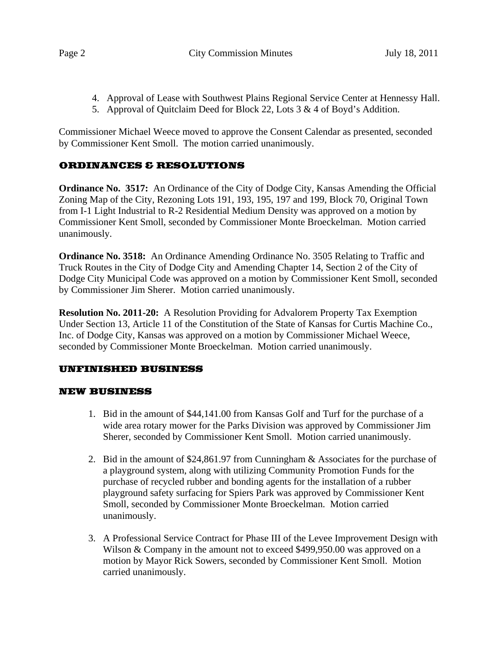- 4. Approval of Lease with Southwest Plains Regional Service Center at Hennessy Hall.
- 5. Approval of Quitclaim Deed for Block 22, Lots 3 & 4 of Boyd's Addition.

Commissioner Michael Weece moved to approve the Consent Calendar as presented, seconded by Commissioner Kent Smoll. The motion carried unanimously.

#### ORDINANCES & RESOLUTIONS

**Ordinance No. 3517:** An Ordinance of the City of Dodge City, Kansas Amending the Official Zoning Map of the City, Rezoning Lots 191, 193, 195, 197 and 199, Block 70, Original Town from I-1 Light Industrial to R-2 Residential Medium Density was approved on a motion by Commissioner Kent Smoll, seconded by Commissioner Monte Broeckelman. Motion carried unanimously.

**Ordinance No. 3518:** An Ordinance Amending Ordinance No. 3505 Relating to Traffic and Truck Routes in the City of Dodge City and Amending Chapter 14, Section 2 of the City of Dodge City Municipal Code was approved on a motion by Commissioner Kent Smoll, seconded by Commissioner Jim Sherer. Motion carried unanimously.

**Resolution No. 2011-20:** A Resolution Providing for Advalorem Property Tax Exemption Under Section 13, Article 11 of the Constitution of the State of Kansas for Curtis Machine Co., Inc. of Dodge City, Kansas was approved on a motion by Commissioner Michael Weece, seconded by Commissioner Monte Broeckelman. Motion carried unanimously.

### UNFINISHED BUSINESS

#### NEW BUSINESS

- 1. Bid in the amount of \$44,141.00 from Kansas Golf and Turf for the purchase of a wide area rotary mower for the Parks Division was approved by Commissioner Jim Sherer, seconded by Commissioner Kent Smoll. Motion carried unanimously.
- 2. Bid in the amount of \$24,861.97 from Cunningham & Associates for the purchase of a playground system, along with utilizing Community Promotion Funds for the purchase of recycled rubber and bonding agents for the installation of a rubber playground safety surfacing for Spiers Park was approved by Commissioner Kent Smoll, seconded by Commissioner Monte Broeckelman. Motion carried unanimously.
- 3. A Professional Service Contract for Phase III of the Levee Improvement Design with Wilson & Company in the amount not to exceed \$499,950.00 was approved on a motion by Mayor Rick Sowers, seconded by Commissioner Kent Smoll. Motion carried unanimously.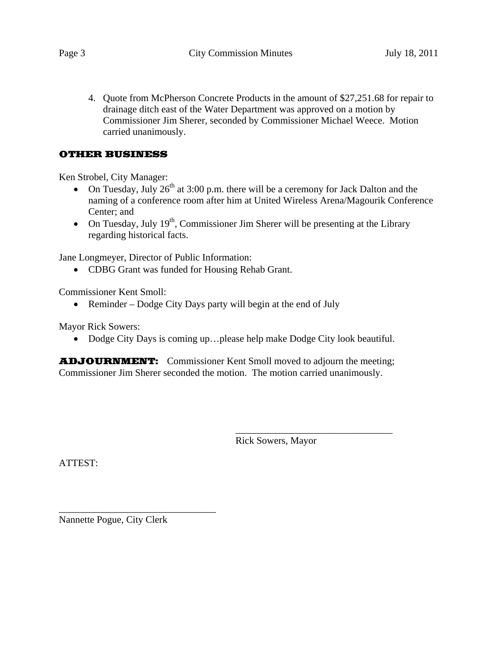4. Quote from McPherson Concrete Products in the amount of \$27,251.68 for repair to drainage ditch east of the Water Department was approved on a motion by Commissioner Jim Sherer, seconded by Commissioner Michael Weece. Motion carried unanimously.

#### OTHER BUSINESS

Ken Strobel, City Manager:

- On Tuesday, July  $26^{th}$  at 3:00 p.m. there will be a ceremony for Jack Dalton and the naming of a conference room after him at United Wireless Arena/Magourik Conference Center; and
- On Tuesday, July  $19<sup>th</sup>$ , Commissioner Jim Sherer will be presenting at the Library regarding historical facts.

Jane Longmeyer, Director of Public Information:

• CDBG Grant was funded for Housing Rehab Grant.

Commissioner Kent Smoll:

• Reminder – Dodge City Days party will begin at the end of July

Mayor Rick Sowers:

• Dodge City Days is coming up...please help make Dodge City look beautiful.

ADJOURNMENT: Commissioner Kent Smoll moved to adjourn the meeting; Commissioner Jim Sherer seconded the motion. The motion carried unanimously.

 $\frac{1}{2}$  , and the contract of the contract of the contract of the contract of the contract of the contract of the contract of the contract of the contract of the contract of the contract of the contract of the contract

Rick Sowers, Mayor

ATTEST:

Nannette Pogue, City Clerk

\_\_\_\_\_\_\_\_\_\_\_\_\_\_\_\_\_\_\_\_\_\_\_\_\_\_\_\_\_\_\_\_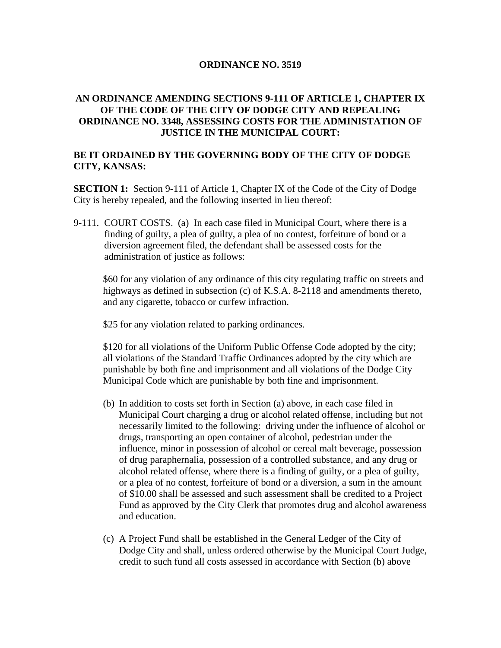#### **ORDINANCE NO. 3519**

#### **AN ORDINANCE AMENDING SECTIONS 9-111 OF ARTICLE 1, CHAPTER IX OF THE CODE OF THE CITY OF DODGE CITY AND REPEALING ORDINANCE NO. 3348, ASSESSING COSTS FOR THE ADMINISTATION OF JUSTICE IN THE MUNICIPAL COURT:**

#### **BE IT ORDAINED BY THE GOVERNING BODY OF THE CITY OF DODGE CITY, KANSAS:**

**SECTION 1:** Section 9-111 of Article 1, Chapter IX of the Code of the City of Dodge City is hereby repealed, and the following inserted in lieu thereof:

9-111. COURT COSTS. (a) In each case filed in Municipal Court, where there is a finding of guilty, a plea of guilty, a plea of no contest, forfeiture of bond or a diversion agreement filed, the defendant shall be assessed costs for the administration of justice as follows:

\$60 for any violation of any ordinance of this city regulating traffic on streets and highways as defined in subsection (c) of K.S.A. 8-2118 and amendments thereto, and any cigarette, tobacco or curfew infraction.

\$25 for any violation related to parking ordinances.

\$120 for all violations of the Uniform Public Offense Code adopted by the city; all violations of the Standard Traffic Ordinances adopted by the city which are punishable by both fine and imprisonment and all violations of the Dodge City Municipal Code which are punishable by both fine and imprisonment.

- (b) In addition to costs set forth in Section (a) above, in each case filed in Municipal Court charging a drug or alcohol related offense, including but not necessarily limited to the following: driving under the influence of alcohol or drugs, transporting an open container of alcohol, pedestrian under the influence, minor in possession of alcohol or cereal malt beverage, possession of drug paraphernalia, possession of a controlled substance, and any drug or alcohol related offense, where there is a finding of guilty, or a plea of guilty, or a plea of no contest, forfeiture of bond or a diversion, a sum in the amount of \$10.00 shall be assessed and such assessment shall be credited to a Project Fund as approved by the City Clerk that promotes drug and alcohol awareness and education.
- (c) A Project Fund shall be established in the General Ledger of the City of Dodge City and shall, unless ordered otherwise by the Municipal Court Judge, credit to such fund all costs assessed in accordance with Section (b) above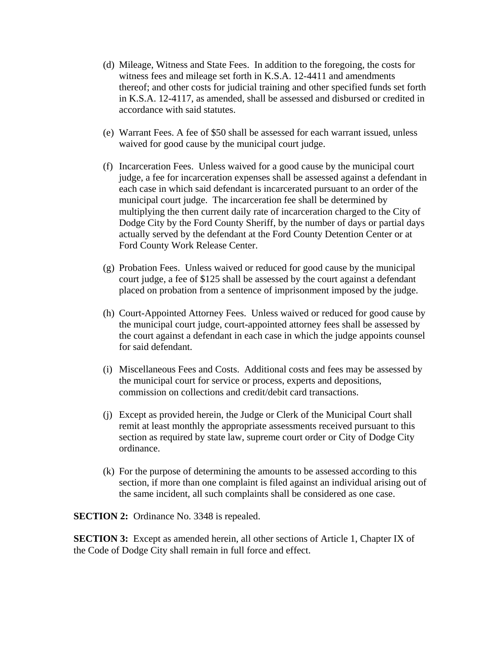- (d) Mileage, Witness and State Fees. In addition to the foregoing, the costs for witness fees and mileage set forth in K.S.A. 12-4411 and amendments thereof; and other costs for judicial training and other specified funds set forth in K.S.A. 12-4117, as amended, shall be assessed and disbursed or credited in accordance with said statutes.
- (e) Warrant Fees. A fee of \$50 shall be assessed for each warrant issued, unless waived for good cause by the municipal court judge.
- (f) Incarceration Fees. Unless waived for a good cause by the municipal court judge, a fee for incarceration expenses shall be assessed against a defendant in each case in which said defendant is incarcerated pursuant to an order of the municipal court judge. The incarceration fee shall be determined by multiplying the then current daily rate of incarceration charged to the City of Dodge City by the Ford County Sheriff, by the number of days or partial days actually served by the defendant at the Ford County Detention Center or at Ford County Work Release Center.
- (g) Probation Fees. Unless waived or reduced for good cause by the municipal court judge, a fee of \$125 shall be assessed by the court against a defendant placed on probation from a sentence of imprisonment imposed by the judge.
- (h) Court-Appointed Attorney Fees. Unless waived or reduced for good cause by the municipal court judge, court-appointed attorney fees shall be assessed by the court against a defendant in each case in which the judge appoints counsel for said defendant.
- (i) Miscellaneous Fees and Costs. Additional costs and fees may be assessed by the municipal court for service or process, experts and depositions, commission on collections and credit/debit card transactions.
- (j) Except as provided herein, the Judge or Clerk of the Municipal Court shall remit at least monthly the appropriate assessments received pursuant to this section as required by state law, supreme court order or City of Dodge City ordinance.
- (k) For the purpose of determining the amounts to be assessed according to this section, if more than one complaint is filed against an individual arising out of the same incident, all such complaints shall be considered as one case.

**SECTION 2:** Ordinance No. 3348 is repealed.

**SECTION 3:** Except as amended herein, all other sections of Article 1, Chapter IX of the Code of Dodge City shall remain in full force and effect.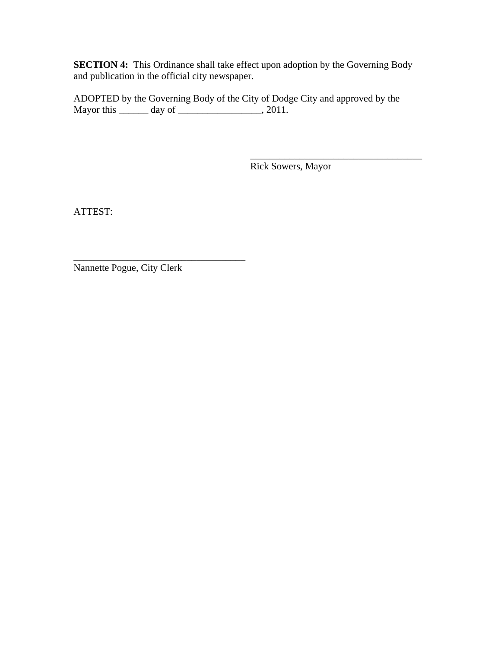**SECTION 4:** This Ordinance shall take effect upon adoption by the Governing Body and publication in the official city newspaper.

ADOPTED by the Governing Body of the City of Dodge City and approved by the Mayor this  $\rule{1em}{0.15mm}$  day of  $\rule{1em}{0.15mm}$   $\qquad$   $\qquad$   $\qquad$   $\qquad$   $\qquad$   $\qquad$   $\qquad$   $\qquad$   $\qquad$   $\qquad$   $\qquad$   $\qquad$   $\qquad$   $\qquad$   $\qquad$   $\qquad$   $\qquad$   $\qquad$   $\qquad$   $\qquad$   $\qquad$   $\qquad$   $\qquad$   $\qquad$   $\qquad$   $\qquad$   $\qquad$   $\qquad$   $\qquad$ 

 $\overline{\phantom{a}}$  , which is a set of the set of the set of the set of the set of the set of the set of the set of the set of the set of the set of the set of the set of the set of the set of the set of the set of the set of th

Rick Sowers, Mayor

ATTEST:

Nannette Pogue, City Clerk

\_\_\_\_\_\_\_\_\_\_\_\_\_\_\_\_\_\_\_\_\_\_\_\_\_\_\_\_\_\_\_\_\_\_\_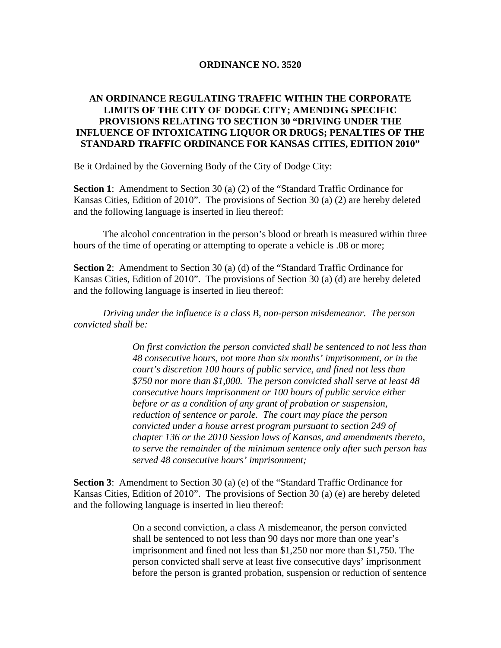#### **ORDINANCE NO. 3520**

#### **AN ORDINANCE REGULATING TRAFFIC WITHIN THE CORPORATE LIMITS OF THE CITY OF DODGE CITY; AMENDING SPECIFIC PROVISIONS RELATING TO SECTION 30 "DRIVING UNDER THE INFLUENCE OF INTOXICATING LIQUOR OR DRUGS; PENALTIES OF THE STANDARD TRAFFIC ORDINANCE FOR KANSAS CITIES, EDITION 2010"**

Be it Ordained by the Governing Body of the City of Dodge City:

**Section 1**: Amendment to Section 30 (a) (2) of the "Standard Traffic Ordinance for Kansas Cities, Edition of 2010". The provisions of Section 30 (a) (2) are hereby deleted and the following language is inserted in lieu thereof:

 The alcohol concentration in the person's blood or breath is measured within three hours of the time of operating or attempting to operate a vehicle is .08 or more;

**Section 2**: Amendment to Section 30 (a) (d) of the "Standard Traffic Ordinance for Kansas Cities, Edition of 2010". The provisions of Section 30 (a) (d) are hereby deleted and the following language is inserted in lieu thereof:

*Driving under the influence is a class B, non-person misdemeanor. The person convicted shall be:* 

> *On first conviction the person convicted shall be sentenced to not less than 48 consecutive hours, not more than six months' imprisonment, or in the court's discretion 100 hours of public service, and fined not less than \$750 nor more than \$1,000. The person convicted shall serve at least 48 consecutive hours imprisonment or 100 hours of public service either before or as a condition of any grant of probation or suspension, reduction of sentence or parole. The court may place the person convicted under a house arrest program pursuant to section 249 of chapter 136 or the 2010 Session laws of Kansas, and amendments thereto, to serve the remainder of the minimum sentence only after such person has served 48 consecutive hours' imprisonment;*

**Section 3**: Amendment to Section 30 (a) (e) of the "Standard Traffic Ordinance for Kansas Cities, Edition of 2010". The provisions of Section 30 (a) (e) are hereby deleted and the following language is inserted in lieu thereof:

> On a second conviction, a class A misdemeanor, the person convicted shall be sentenced to not less than 90 days nor more than one year's imprisonment and fined not less than \$1,250 nor more than \$1,750. The person convicted shall serve at least five consecutive days' imprisonment before the person is granted probation, suspension or reduction of sentence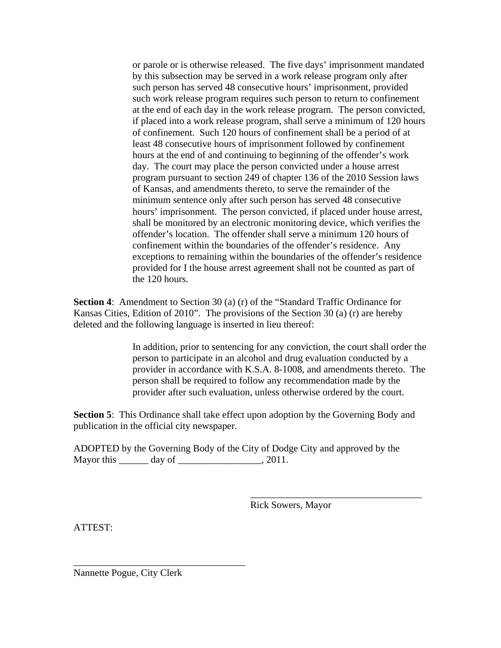or parole or is otherwise released. The five days' imprisonment mandated by this subsection may be served in a work release program only after such person has served 48 consecutive hours' imprisonment, provided such work release program requires such person to return to confinement at the end of each day in the work release program. The person convicted, if placed into a work release program, shall serve a minimum of 120 hours of confinement. Such 120 hours of confinement shall be a period of at least 48 consecutive hours of imprisonment followed by confinement hours at the end of and continuing to beginning of the offender's work day. The court may place the person convicted under a house arrest program pursuant to section 249 of chapter 136 of the 2010 Session laws of Kansas, and amendments thereto, to serve the remainder of the minimum sentence only after such person has served 48 consecutive hours' imprisonment. The person convicted, if placed under house arrest, shall be monitored by an electronic monitoring device, which verifies the offender's location. The offender shall serve a minimum 120 hours of confinement within the boundaries of the offender's residence. Any exceptions to remaining within the boundaries of the offender's residence provided for I the house arrest agreement shall not be counted as part of the 120 hours.

**Section 4**: Amendment to Section 30 (a) (r) of the "Standard Traffic Ordinance for Kansas Cities, Edition of 2010". The provisions of the Section 30 (a) (r) are hereby deleted and the following language is inserted in lieu thereof:

> In addition, prior to sentencing for any conviction, the court shall order the person to participate in an alcohol and drug evaluation conducted by a provider in accordance with K.S.A. 8-1008, and amendments thereto. The person shall be required to follow any recommendation made by the provider after such evaluation, unless otherwise ordered by the court.

**Section 5**: This Ordinance shall take effect upon adoption by the Governing Body and publication in the official city newspaper.

 $\overline{\phantom{a}}$  , which is a set of the set of the set of the set of the set of the set of the set of the set of the set of the set of the set of the set of the set of the set of the set of the set of the set of the set of th

ADOPTED by the Governing Body of the City of Dodge City and approved by the Mayor this \_\_\_\_\_\_\_ day of \_\_\_\_\_\_\_\_\_\_\_\_\_\_\_\_\_\_, 2011.

Rick Sowers, Mayor

ATTEST:

Nannette Pogue, City Clerk

\_\_\_\_\_\_\_\_\_\_\_\_\_\_\_\_\_\_\_\_\_\_\_\_\_\_\_\_\_\_\_\_\_\_\_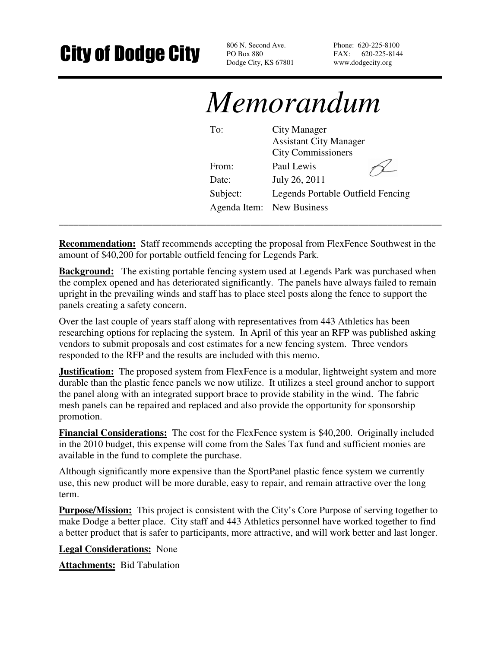# **City of Dodge City** Book Second Ave.

PO Box 880 Dodge City, KS 67801 Phone: 620-225-8100 FAX: 620-225-8144 www.dodgecity.org

# *Memorandum*

| To:      | City Manager<br><b>Assistant City Manager</b><br><b>City Commissioners</b> |
|----------|----------------------------------------------------------------------------|
| From:    | Paul Lewis                                                                 |
| Date:    | July 26, 2011                                                              |
| Subject: | <b>Legends Portable Outfield Fencing</b>                                   |
|          | Agenda Item: New Business                                                  |

**Recommendation:** Staff recommends accepting the proposal from FlexFence Southwest in the amount of \$40,200 for portable outfield fencing for Legends Park.

**\_\_\_\_\_\_\_\_\_\_\_\_\_\_\_\_\_\_\_\_\_\_\_\_\_\_\_\_\_\_\_\_\_\_\_\_\_\_\_\_\_\_\_\_\_\_\_\_\_\_\_\_\_\_\_\_\_\_\_\_\_\_\_\_\_\_\_\_\_\_\_\_\_\_\_\_\_\_** 

**Background:** The existing portable fencing system used at Legends Park was purchased when the complex opened and has deteriorated significantly. The panels have always failed to remain upright in the prevailing winds and staff has to place steel posts along the fence to support the panels creating a safety concern.

Over the last couple of years staff along with representatives from 443 Athletics has been researching options for replacing the system. In April of this year an RFP was published asking vendors to submit proposals and cost estimates for a new fencing system. Three vendors responded to the RFP and the results are included with this memo.

**Justification:** The proposed system from FlexFence is a modular, lightweight system and more durable than the plastic fence panels we now utilize. It utilizes a steel ground anchor to support the panel along with an integrated support brace to provide stability in the wind. The fabric mesh panels can be repaired and replaced and also provide the opportunity for sponsorship promotion.

**Financial Considerations:** The cost for the FlexFence system is \$40,200. Originally included in the 2010 budget, this expense will come from the Sales Tax fund and sufficient monies are available in the fund to complete the purchase.

Although significantly more expensive than the SportPanel plastic fence system we currently use, this new product will be more durable, easy to repair, and remain attractive over the long term.

**Purpose/Mission:** This project is consistent with the City's Core Purpose of serving together to make Dodge a better place. City staff and 443 Athletics personnel have worked together to find a better product that is safer to participants, more attractive, and will work better and last longer.

**Legal Considerations:** None

**Attachments:** Bid Tabulation